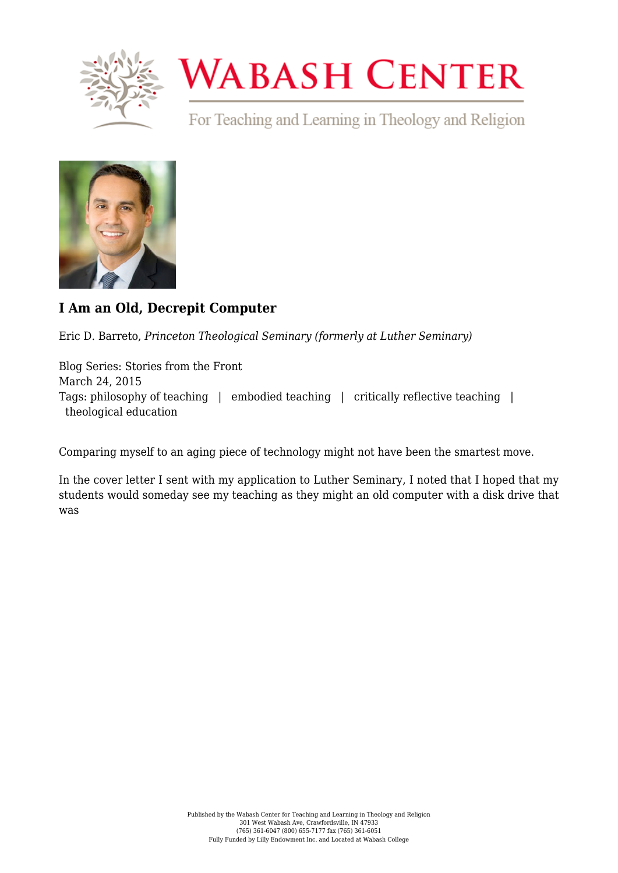

## **WABASH CENTER**

For Teaching and Learning in Theology and Religion



## **[I Am an Old, Decrepit Computer](https://www.wabashcenter.wabash.edu/2015/03/i-am-an-old-decrepit-computer/)**

Eric D. Barreto, *Princeton Theological Seminary (formerly at Luther Seminary)*

Blog Series: Stories from the Front March 24, 2015 Tags: philosophy of teaching | embodied teaching | critically reflective teaching | theological education

Comparing myself to an aging piece of technology might not have been the smartest move.

In the cover letter I sent with my application to Luther Seminary, I noted that I hoped that my students would someday see my teaching as they might an old computer with a disk drive that was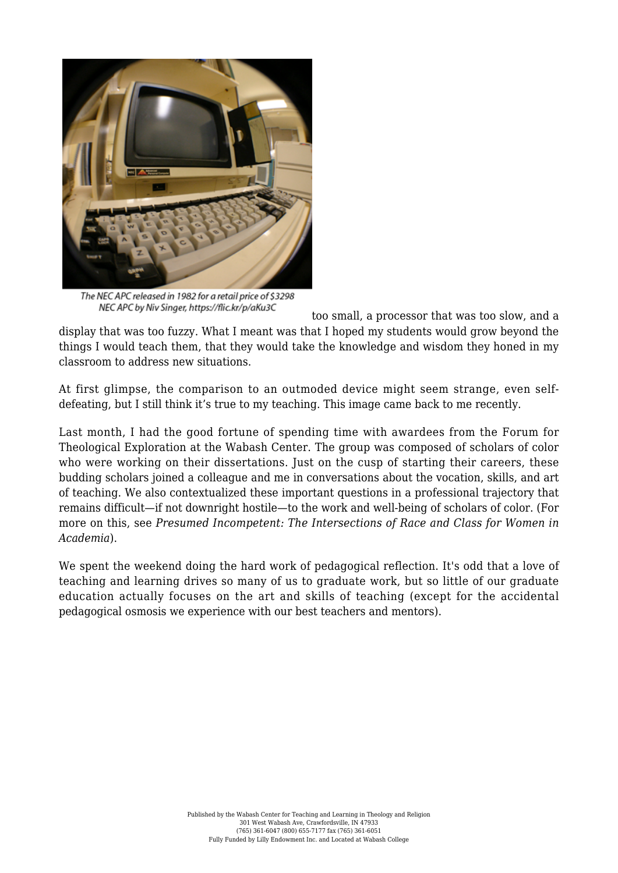

The NEC APC released in 1982 for a retail price of \$3298 NEC APC by Niv Singer, https://flic.kr/p/aKu3C

too small, a processor that was too slow, and a display that was too fuzzy. What I meant was that I hoped my students would grow beyond the things I would teach them, that they would take the knowledge and wisdom they honed in my classroom to address new situations.

At first glimpse, the comparison to an outmoded device might seem strange, even selfdefeating, but I still think it's true to my teaching. This image came back to me recently.

Last month, I had the good fortune of spending time with awardees from the [Forum for](http://fteleaders.org) [Theological Exploration](http://fteleaders.org) at the Wabash Center. The group was composed of scholars of color who were working on their dissertations. Just on the cusp of starting their careers, these budding scholars joined a colleague and me in conversations about the vocation, skills, and art of teaching. We also contextualized these important questions in a professional trajectory that remains difficult—if not downright hostile—to the work and well-being of scholars of color. (For more on this, see *[Presumed Incompetent: The Intersections of Race and Class for Women in](http://www.amazon.com/Presumed-Incompetent-Intersections-Class-Academia/dp/0874219221) [Academia](http://www.amazon.com/Presumed-Incompetent-Intersections-Class-Academia/dp/0874219221)*).

We spent the weekend doing the hard work of pedagogical reflection. It's odd that a love of teaching and learning drives so many of us to graduate work, but so little of our graduate education actually focuses on the art and skills of teaching (except for the accidental pedagogical osmosis we experience with our best teachers and mentors).